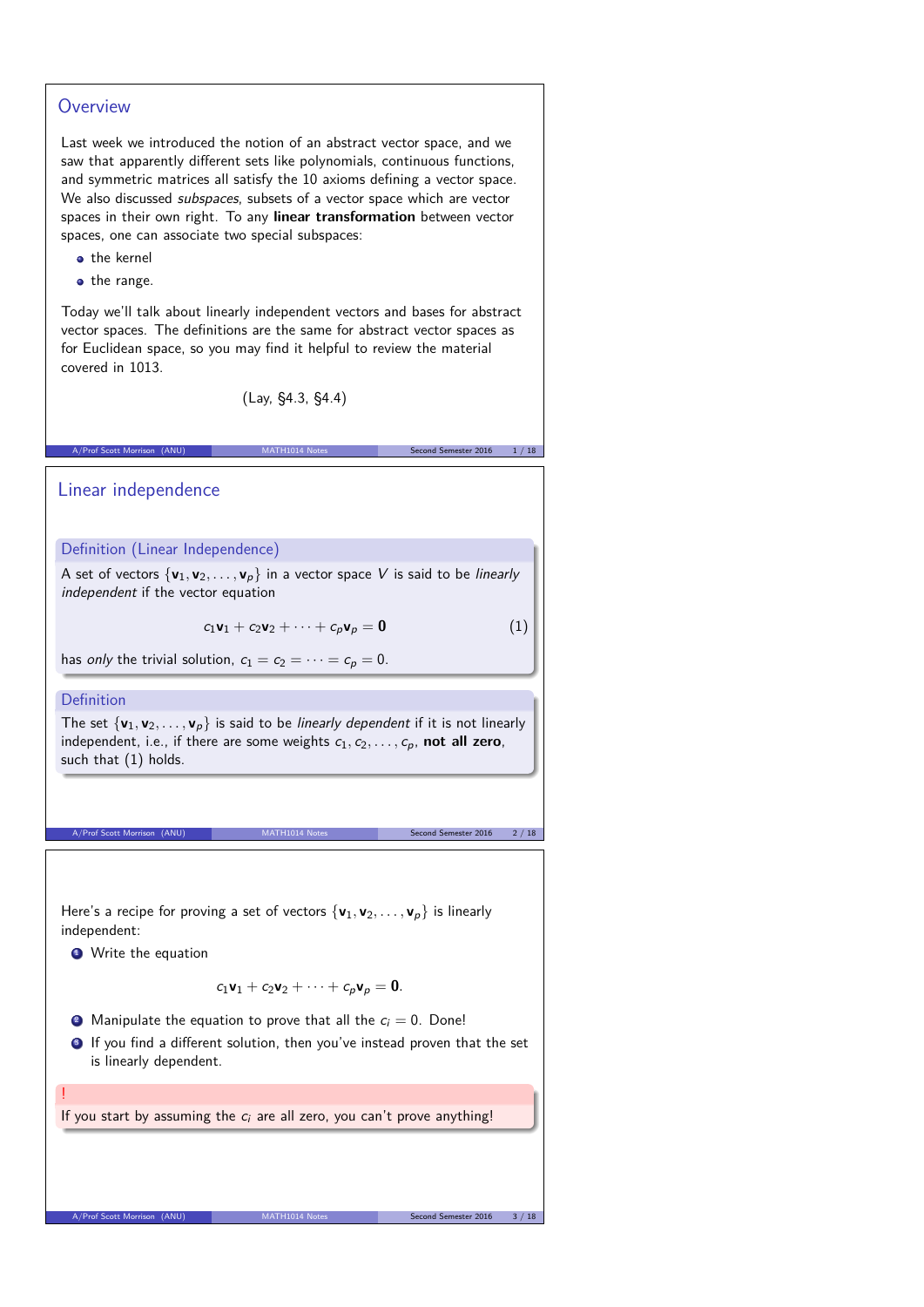### **Overview**

Last week we introduced the notion of an abstract vector space, and we saw that apparently different sets like polynomials, continuous functions, and symmetric matrices all satisfy the 10 axioms defining a vector space. We also discussed *subspaces*, subsets of a vector space which are vector spaces in their own right. To any **linear transformation** between vector spaces, one can associate two special subspaces:

- the kernel
- the range.

Today we'll talk about linearly independent vectors and bases for abstract vector spaces. The definitions are the same for abstract vector spaces as for Euclidean space, so you may find it helpful to review the material covered in 1013.

(Lay, §4.3, §4.4)

A/Prof Scott Morrison (ANU) MATH1014 Notes Second Semester 2016 1/18

Linear independence

Definition (Linear Independence)

A set of vectors  $\{v_1, v_2, \ldots, v_n\}$  in a vector space V is said to be *linearly* independent if the vector equation

 $c_1 \mathbf{v}_1 + c_2 \mathbf{v}_2 + \cdots + c_p \mathbf{v}_p = \mathbf{0}$  (1)

has only the trivial solution,  $c_1 = c_2 = \cdots = c_p = 0$ .

#### Definition

The set  $\{v_1, v_2, \ldots, v_p\}$  is said to be *linearly dependent* if it is not linearly independent, i.e., if there are some weights  $c_1, c_2, \ldots, c_p$ , not all zero, such that (1) holds.

A/Prof Scott Morrison (ANU) MATH1014 Notes Second Semester 2016 2 / 18

Here's a recipe for proving a set of vectors  $\{v_1, v_2, \ldots, v_p\}$  is linearly independent:

**1** Write the equation

A/Prof Scott Morrison (ANU)

!

$$
c_1\mathbf{v}_1+c_2\mathbf{v}_2+\cdots+c_p\mathbf{v}_p=\mathbf{0}.
$$

- **2** Manipulate the equation to prove that all the  $c_i = 0$ . Done!
- **3** If you find a different solution, then you've instead proven that the set is linearly dependent.

If you start by assuming the  $c_i$  are all zero, you can't prove anything!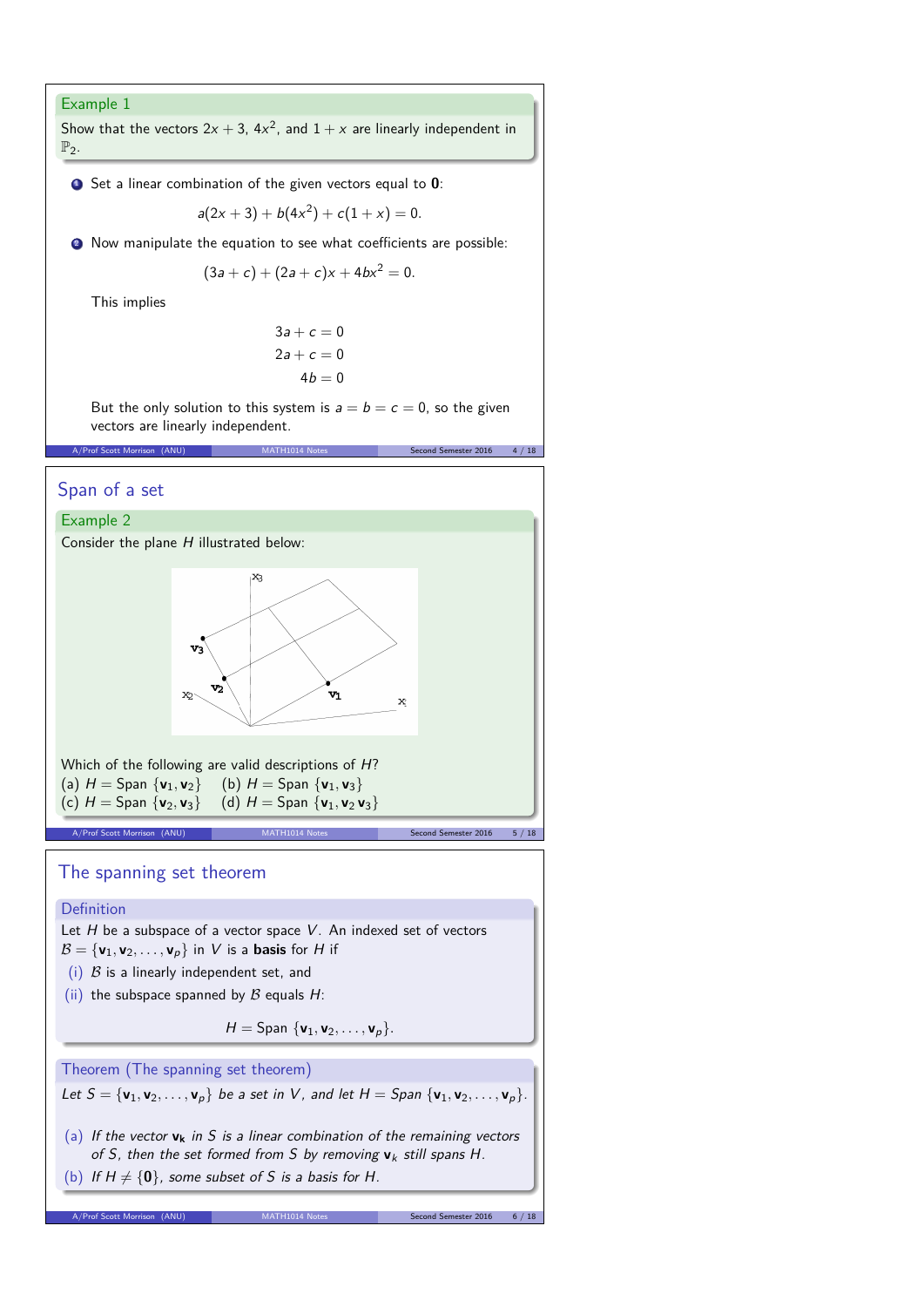#### Example 1

Show that the vectors  $2x + 3$ ,  $4x^2$ , and  $1 + x$  are linearly independent in  $\mathbb{P}_2$ .

**1** Set a linear combination of the given vectors equal to **0**:

$$
a(2x + 3) + b(4x^2) + c(1 + x) = 0.
$$

**2** Now manipulate the equation to see what coefficients are possible:

$$
(3a + c) + (2a + c)x + 4bx^2 = 0.
$$

This implies

$$
3a + c = 0
$$
  

$$
2a + c = 0
$$
  

$$
4b = 0
$$

But the only solution to this system is  $a = b = c = 0$ , so the given vectors are linearly independent.

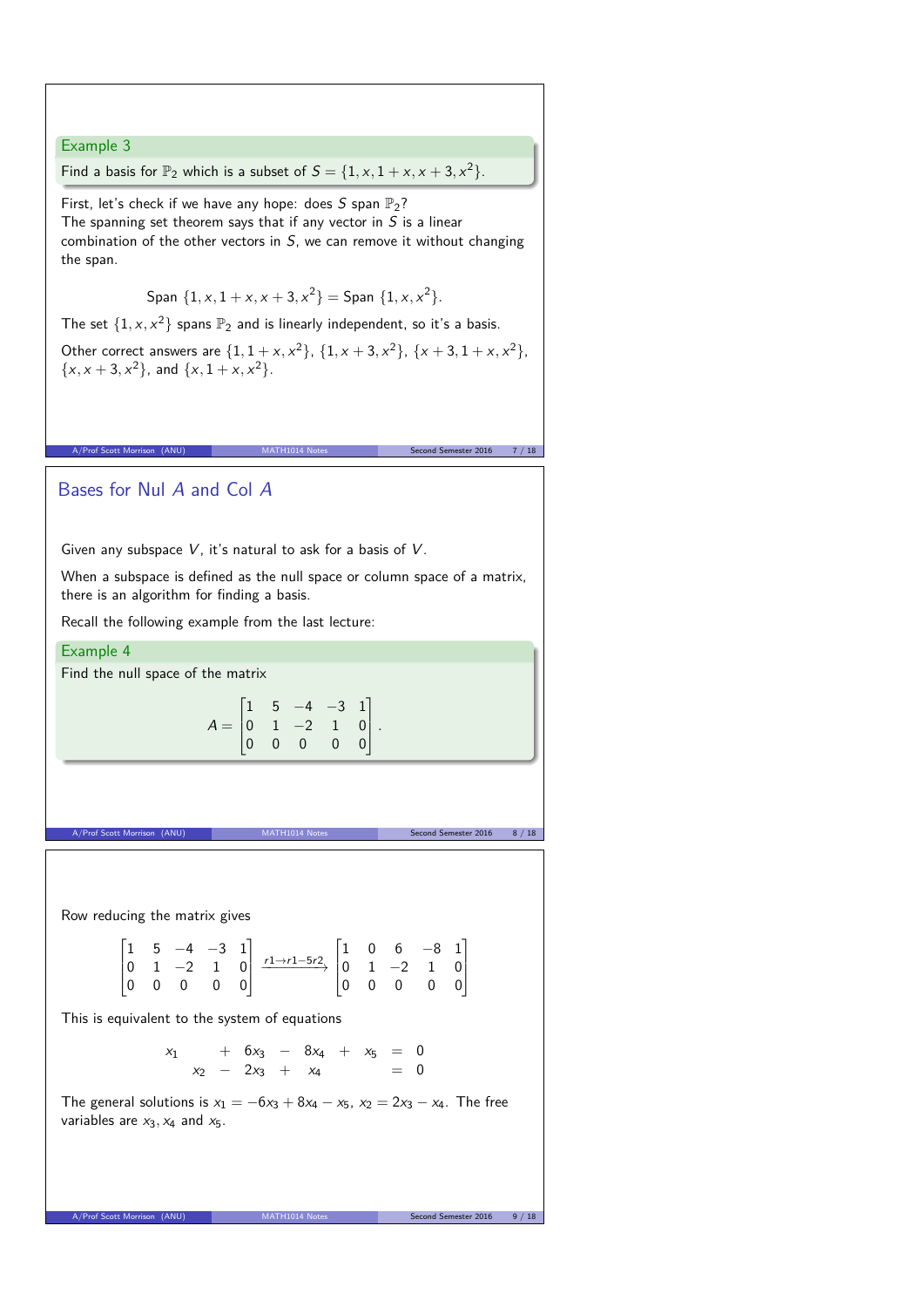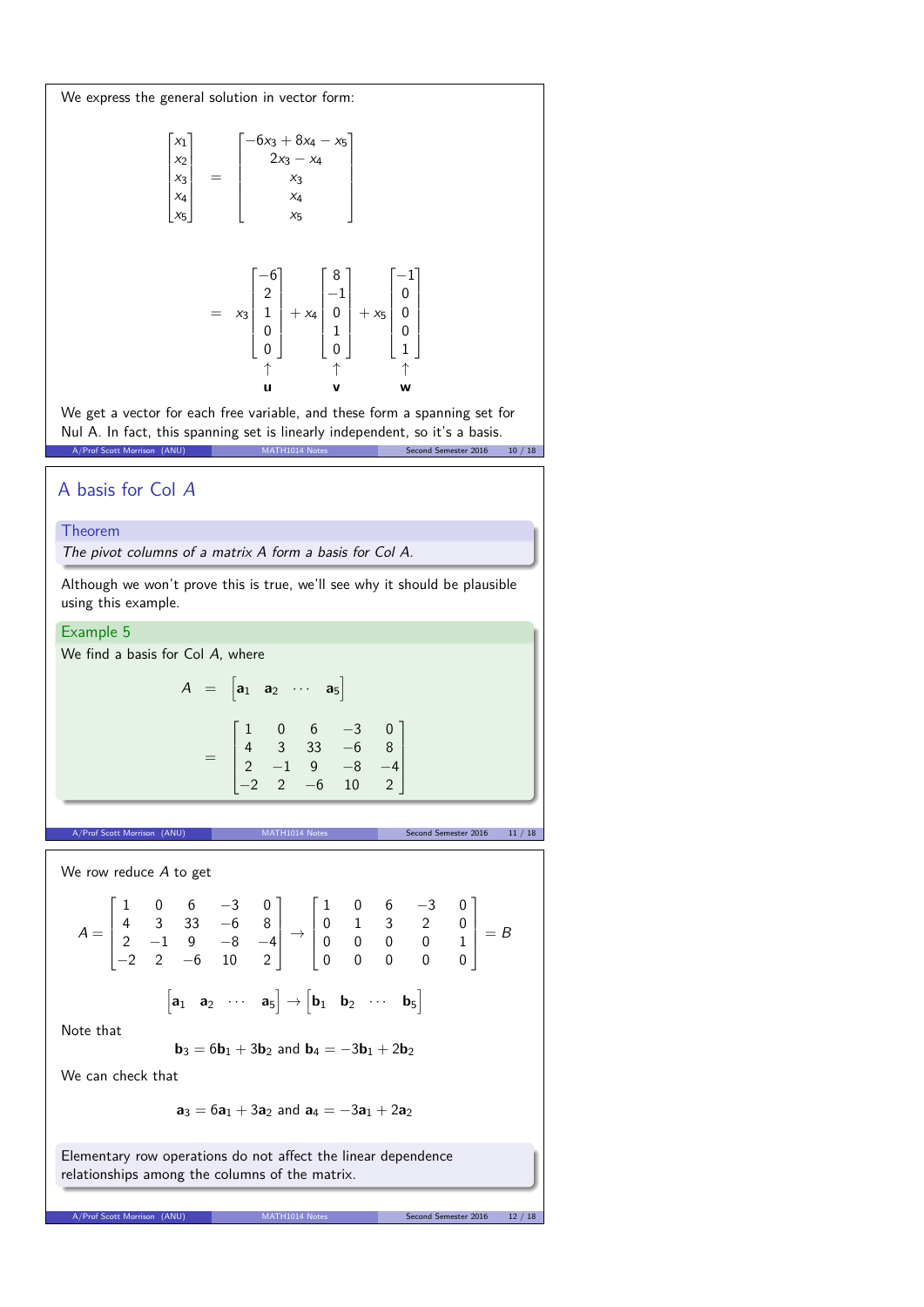We express the general solution in vector form:

$$
\begin{bmatrix} x_1 \\ x_2 \\ x_3 \\ x_4 \\ x_5 \end{bmatrix} = \begin{bmatrix} -6x_3 + 8x_4 - x_5 \\ 2x_3 - x_4 \\ x_3 \\ x_4 \\ x_5 \end{bmatrix}
$$

$$
= x_3 \begin{bmatrix} -6 \\ 2 \\ 1 \\ 0 \\ 0 \end{bmatrix} + x_4 \begin{bmatrix} 8 \\ -1 \\ 0 \\ 1 \\ 0 \end{bmatrix} + x_5 \begin{bmatrix} -1 \\ 0 \\ 0 \\ 0 \\ 1 \end{bmatrix}
$$

$$
+ x_5 \begin{bmatrix} -1 \\ 0 \\ 0 \\ 1 \\ 0 \end{bmatrix}
$$

We get a vector for each free variable, and these form a spanning set for Nul A. In fact, this spanning set is linearly independent, so it's a basis.<br>A/Prof Scott Morrison (ANU) MATH1014 Notes second Semester 2016 A/Prof Scott Morrison (ANU) MATH1014 Notes Second Semester 2016 10 / 18

# A basis for Col A

#### Theorem

The pivot columns of a matrix A form a basis for Col A.

Although we won't prove this is true, we'll see why it should be plausible using this example.

Example 5

We find a basis for Col A, where

$$
A = \begin{bmatrix} a_1 & a_2 & \cdots & a_5 \end{bmatrix}
$$
  
= 
$$
\begin{bmatrix} 1 & 0 & 6 & -3 & 0 \\ 4 & 3 & 33 & -6 & 8 \\ 2 & -1 & 9 & -8 & -4 \\ -2 & 2 & -6 & 10 & 2 \end{bmatrix}
$$

We row reduce A to get  
\n
$$
A = \begin{bmatrix} 1 & 0 & 6 & -3 & 0 \\ 4 & 3 & 33 & -6 & 8 \\ 2 & -1 & 9 & -8 & -4 \\ -2 & 2 & -6 & 10 & 2 \end{bmatrix} \rightarrow \begin{bmatrix} 1 & 0 & 6 & -3 & 0 \\ 0 & 1 & 3 & 2 & 0 \\ 0 & 0 & 0 & 0 & 1 \\ 0 & 0 & 0 & 0 & 0 \end{bmatrix} = B
$$

A/Prof Scott Morrison (ANU) MATH1014 Notes Second Semester 2016 11 / 18

$$
\begin{bmatrix} \textbf{a}_1 & \textbf{a}_2 & \cdots & \textbf{a}_5 \end{bmatrix} \rightarrow \begin{bmatrix} \textbf{b}_1 & \textbf{b}_2 & \cdots & \textbf{b}_5 \end{bmatrix}
$$

Note that

**b**<sub>3</sub> =  $6b_1 + 3b_2$  and  $b_4 = -3b_1 + 2b_2$ 

We can check that

 $a_3 = 6a_1 + 3a_2$  and  $a_4 = -3a_1 + 2a_2$ 

 $\frac{1}{2}$  Morrison (Anu) Mathematical Semester 2016 12

Elementary row operations do not affect the linear dependence relationships among the columns of the matrix.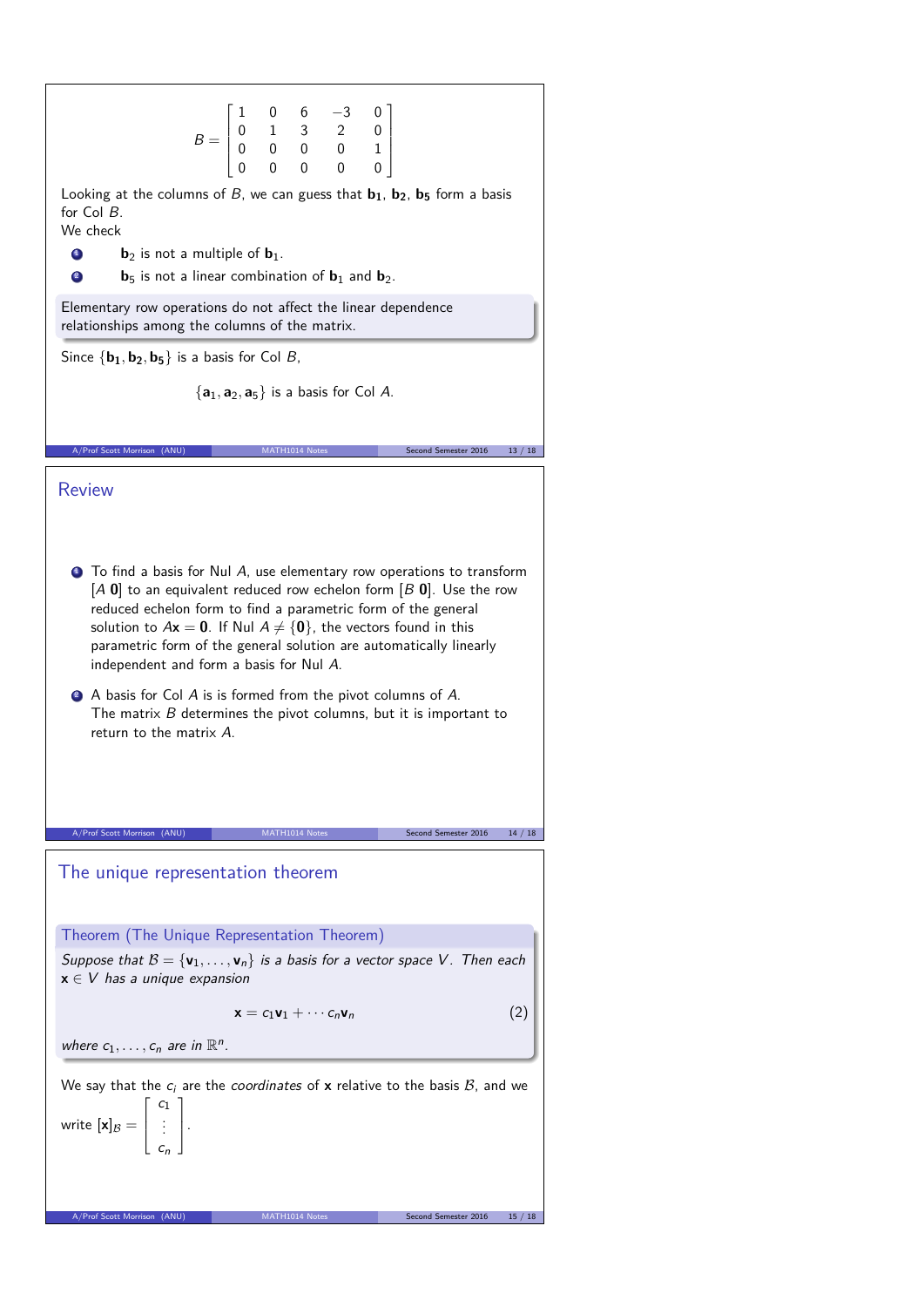